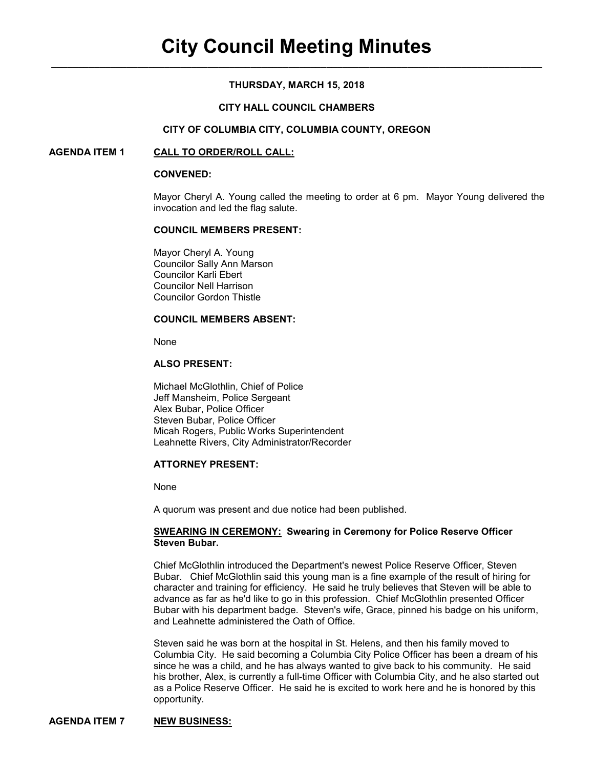# **THURSDAY, MARCH 15, 2018**

## **CITY HALL COUNCIL CHAMBERS**

### **CITY OF COLUMBIA CITY, COLUMBIA COUNTY, OREGON**

## **AGENDA ITEM 1 CALL TO ORDER/ROLL CALL:**

#### **CONVENED:**

Mayor Cheryl A. Young called the meeting to order at 6 pm. Mayor Young delivered the invocation and led the flag salute.

### **COUNCIL MEMBERS PRESENT:**

 Mayor Cheryl A. Young Councilor Sally Ann Marson Councilor Karli Ebert Councilor Nell Harrison Councilor Gordon Thistle

### **COUNCIL MEMBERS ABSENT:**

None

## **ALSO PRESENT:**

Michael McGlothlin, Chief of Police Jeff Mansheim, Police Sergeant Alex Bubar, Police Officer Steven Bubar, Police Officer Micah Rogers, Public Works Superintendent Leahnette Rivers, City Administrator/Recorder

# **ATTORNEY PRESENT:**

None

A quorum was present and due notice had been published.

### **SWEARING IN CEREMONY: Swearing in Ceremony for Police Reserve Officer Steven Bubar.**

Chief McGlothlin introduced the Department's newest Police Reserve Officer, Steven Bubar. Chief McGlothlin said this young man is a fine example of the result of hiring for character and training for efficiency. He said he truly believes that Steven will be able to advance as far as he'd like to go in this profession. Chief McGlothlin presented Officer Bubar with his department badge. Steven's wife, Grace, pinned his badge on his uniform, and Leahnette administered the Oath of Office.

Steven said he was born at the hospital in St. Helens, and then his family moved to Columbia City. He said becoming a Columbia City Police Officer has been a dream of his since he was a child, and he has always wanted to give back to his community. He said his brother, Alex, is currently a full-time Officer with Columbia City, and he also started out as a Police Reserve Officer. He said he is excited to work here and he is honored by this opportunity.

## **AGENDA ITEM 7 NEW BUSINESS:**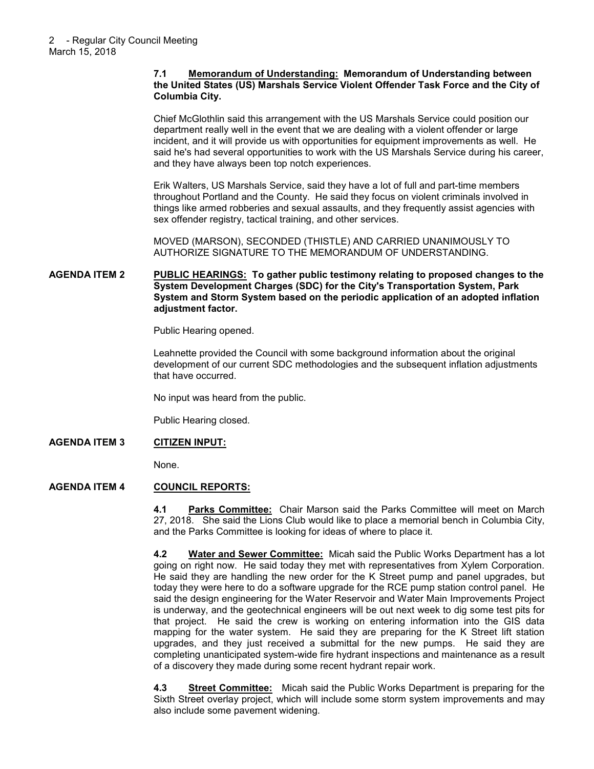## **7.1 Memorandum of Understanding: Memorandum of Understanding between the United States (US) Marshals Service Violent Offender Task Force and the City of Columbia City.**

Chief McGlothlin said this arrangement with the US Marshals Service could position our department really well in the event that we are dealing with a violent offender or large incident, and it will provide us with opportunities for equipment improvements as well. He said he's had several opportunities to work with the US Marshals Service during his career, and they have always been top notch experiences.

Erik Walters, US Marshals Service, said they have a lot of full and part-time members throughout Portland and the County. He said they focus on violent criminals involved in things like armed robberies and sexual assaults, and they frequently assist agencies with sex offender registry, tactical training, and other services.

MOVED (MARSON), SECONDED (THISTLE) AND CARRIED UNANIMOUSLY TO AUTHORIZE SIGNATURE TO THE MEMORANDUM OF UNDERSTANDING.

## **AGENDA ITEM 2 PUBLIC HEARINGS: To gather public testimony relating to proposed changes to the System Development Charges (SDC) for the City's Transportation System, Park System and Storm System based on the periodic application of an adopted inflation adjustment factor.**

Public Hearing opened.

Leahnette provided the Council with some background information about the original development of our current SDC methodologies and the subsequent inflation adjustments that have occurred.

No input was heard from the public.

Public Hearing closed.

## **AGENDA ITEM 3 CITIZEN INPUT:**

None.

## **AGENDA ITEM 4 COUNCIL REPORTS:**

**4.1 Parks Committee:** Chair Marson said the Parks Committee will meet on March 27, 2018. She said the Lions Club would like to place a memorial bench in Columbia City, and the Parks Committee is looking for ideas of where to place it.

**4.2 Water and Sewer Committee:** Micah said the Public Works Department has a lot going on right now. He said today they met with representatives from Xylem Corporation. He said they are handling the new order for the K Street pump and panel upgrades, but today they were here to do a software upgrade for the RCE pump station control panel. He said the design engineering for the Water Reservoir and Water Main Improvements Project is underway, and the geotechnical engineers will be out next week to dig some test pits for that project. He said the crew is working on entering information into the GIS data mapping for the water system. He said they are preparing for the K Street lift station upgrades, and they just received a submittal for the new pumps. He said they are completing unanticipated system-wide fire hydrant inspections and maintenance as a result of a discovery they made during some recent hydrant repair work.

**4.3 Street Committee:** Micah said the Public Works Department is preparing for the Sixth Street overlay project, which will include some storm system improvements and may also include some pavement widening.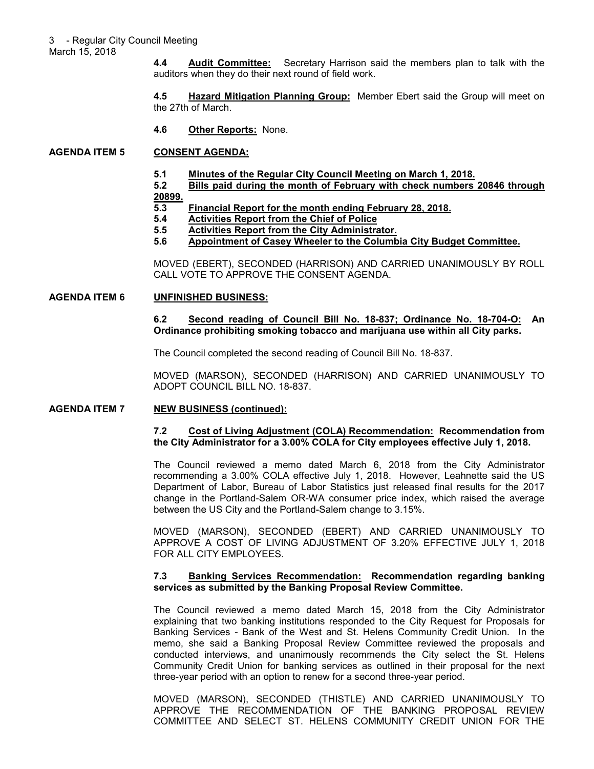March 15, 2018

**4.4 Audit Committee:** Secretary Harrison said the members plan to talk with the auditors when they do their next round of field work.

**4.5 Hazard Mitigation Planning Group:** Member Ebert said the Group will meet on the 27th of March.

**4.6 Other Reports:** None.

# **AGENDA ITEM 5 CONSENT AGENDA:**

**5.1 Minutes of the Regular City Council Meeting on March 1, 2018.**

**5.2 Bills paid during the month of February with check numbers 20846 through 20899.**

- **5.3 Financial Report for the month ending February 28, 2018.**
- **5.4** Activities Report from the Chief of Police<br>5.5 Activities Report from the City Administra
- **5.5 Activities Report from the City Administrator.**
- **5.6 Appointment of Casey Wheeler to the Columbia City Budget Committee.**

MOVED (EBERT), SECONDED (HARRISON) AND CARRIED UNANIMOUSLY BY ROLL CALL VOTE TO APPROVE THE CONSENT AGENDA.

### **AGENDA ITEM 6 UNFINISHED BUSINESS:**

**6.2 Second reading of Council Bill No. 18-837; Ordinance No. 18-704-O: An Ordinance prohibiting smoking tobacco and marijuana use within all City parks.**

The Council completed the second reading of Council Bill No. 18-837.

MOVED (MARSON), SECONDED (HARRISON) AND CARRIED UNANIMOUSLY TO ADOPT COUNCIL BILL NO. 18-837.

## **AGENDA ITEM 7 NEW BUSINESS (continued):**

### **7.2 Cost of Living Adjustment (COLA) Recommendation: Recommendation from the City Administrator for a 3.00% COLA for City employees effective July 1, 2018.**

The Council reviewed a memo dated March 6, 2018 from the City Administrator recommending a 3.00% COLA effective July 1, 2018. However, Leahnette said the US Department of Labor, Bureau of Labor Statistics just released final results for the 2017 change in the Portland-Salem OR-WA consumer price index, which raised the average between the US City and the Portland-Salem change to 3.15%.

MOVED (MARSON), SECONDED (EBERT) AND CARRIED UNANIMOUSLY TO APPROVE A COST OF LIVING ADJUSTMENT OF 3.20% EFFECTIVE JULY 1, 2018 FOR ALL CITY EMPLOYEES.

### **7.3 Banking Services Recommendation: Recommendation regarding banking services as submitted by the Banking Proposal Review Committee.**

The Council reviewed a memo dated March 15, 2018 from the City Administrator explaining that two banking institutions responded to the City Request for Proposals for Banking Services - Bank of the West and St. Helens Community Credit Union. In the memo, she said a Banking Proposal Review Committee reviewed the proposals and conducted interviews, and unanimously recommends the City select the St. Helens Community Credit Union for banking services as outlined in their proposal for the next three-year period with an option to renew for a second three-year period.

MOVED (MARSON), SECONDED (THISTLE) AND CARRIED UNANIMOUSLY TO APPROVE THE RECOMMENDATION OF THE BANKING PROPOSAL REVIEW COMMITTEE AND SELECT ST. HELENS COMMUNITY CREDIT UNION FOR THE